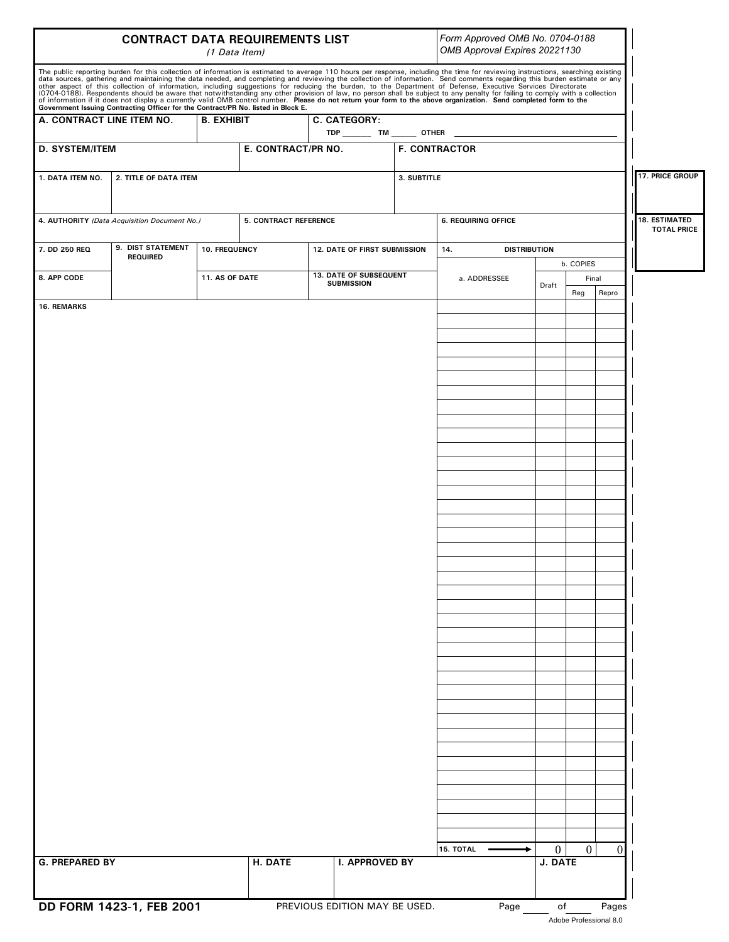|                                              | Form Approved OMB No. 0704-0188<br>OMB Approval Expires 20221130                  |                   |                                                              |                               |             |                                                                                                                                                                                                                                                                                                                                                                                                                                                                                                                                                                                                                                                                                                                                                                                                                                                                                |              |                |          |                        |                    |
|----------------------------------------------|-----------------------------------------------------------------------------------|-------------------|--------------------------------------------------------------|-------------------------------|-------------|--------------------------------------------------------------------------------------------------------------------------------------------------------------------------------------------------------------------------------------------------------------------------------------------------------------------------------------------------------------------------------------------------------------------------------------------------------------------------------------------------------------------------------------------------------------------------------------------------------------------------------------------------------------------------------------------------------------------------------------------------------------------------------------------------------------------------------------------------------------------------------|--------------|----------------|----------|------------------------|--------------------|
|                                              | Government Issuing Contracting Officer for the Contract/PR No. listed in Block E. |                   |                                                              |                               |             | The public reporting burden for this collection of information is estimated to average 110 hours per response, including the time for reviewing instructions, searching existing<br>data sources, gathering and maintaining the data needed, and completing and reviewing the collection of information. Send comments regarding this burden estimate or any<br>other aspect of this collection of information, including suggestions for reducing the burden, to the Department of Defense, Executive Services Directorate<br>(0704-0188). Respondents should be aware that notwithstanding any other provision of law, no person shall be subject to any penalty for failing to comply with a collection<br>of information if it does not display a currently valid OMB control number. Please do not return your form to the above organization. Send completed form to the |              |                |          |                        |                    |
| A. CONTRACT LINE ITEM NO.                    |                                                                                   | <b>B. EXHIBIT</b> | C. CATEGORY:<br>TDP ________ TM _______ OTHER ______________ |                               |             |                                                                                                                                                                                                                                                                                                                                                                                                                                                                                                                                                                                                                                                                                                                                                                                                                                                                                |              |                |          |                        |                    |
| <b>D. SYSTEM/ITEM</b>                        |                                                                                   |                   | E. CONTRACT/PR NO.                                           |                               |             | <b>F. CONTRACTOR</b>                                                                                                                                                                                                                                                                                                                                                                                                                                                                                                                                                                                                                                                                                                                                                                                                                                                           |              |                |          |                        |                    |
| 1. DATA ITEM NO.                             | 2. TITLE OF DATA ITEM                                                             |                   |                                                              |                               | 3. SUBTITLE |                                                                                                                                                                                                                                                                                                                                                                                                                                                                                                                                                                                                                                                                                                                                                                                                                                                                                |              |                |          | <b>17. PRICE GROUP</b> |                    |
| 4. AUTHORITY (Data Acquisition Document No.) |                                                                                   |                   | <b>5. CONTRACT REFERENCE</b>                                 |                               |             | <b>6. REQUIRING OFFICE</b>                                                                                                                                                                                                                                                                                                                                                                                                                                                                                                                                                                                                                                                                                                                                                                                                                                                     |              |                |          | <b>18. ESTIMATED</b>   |                    |
| 7. DD 250 REQ                                | 9. DIST STATEMENT<br>10. FREQUENCY                                                |                   | <b>12. DATE OF FIRST SUBMISSION</b>                          |                               |             | 14.<br><b>DISTRIBUTION</b>                                                                                                                                                                                                                                                                                                                                                                                                                                                                                                                                                                                                                                                                                                                                                                                                                                                     |              |                |          |                        | <b>TOTAL PRICE</b> |
|                                              | <b>REQUIRED</b>                                                                   |                   |                                                              | 13. DATE OF SUBSEQUENT        |             |                                                                                                                                                                                                                                                                                                                                                                                                                                                                                                                                                                                                                                                                                                                                                                                                                                                                                |              | b. COPIES      |          |                        |                    |
| 8. APP CODE                                  |                                                                                   | 11. AS OF DATE    |                                                              | <b>SUBMISSION</b>             |             | a. ADDRESSEE                                                                                                                                                                                                                                                                                                                                                                                                                                                                                                                                                                                                                                                                                                                                                                                                                                                                   | Draft        | Final<br>Reg   | Repro    |                        |                    |
| <b>16. REMARKS</b>                           |                                                                                   |                   |                                                              |                               |             |                                                                                                                                                                                                                                                                                                                                                                                                                                                                                                                                                                                                                                                                                                                                                                                                                                                                                |              |                |          |                        |                    |
|                                              |                                                                                   |                   |                                                              |                               |             |                                                                                                                                                                                                                                                                                                                                                                                                                                                                                                                                                                                                                                                                                                                                                                                                                                                                                |              |                |          |                        |                    |
|                                              |                                                                                   |                   |                                                              |                               |             |                                                                                                                                                                                                                                                                                                                                                                                                                                                                                                                                                                                                                                                                                                                                                                                                                                                                                |              |                |          |                        |                    |
|                                              |                                                                                   |                   |                                                              |                               |             |                                                                                                                                                                                                                                                                                                                                                                                                                                                                                                                                                                                                                                                                                                                                                                                                                                                                                |              |                |          |                        |                    |
|                                              |                                                                                   |                   |                                                              |                               |             |                                                                                                                                                                                                                                                                                                                                                                                                                                                                                                                                                                                                                                                                                                                                                                                                                                                                                |              |                |          |                        |                    |
|                                              |                                                                                   |                   |                                                              |                               |             |                                                                                                                                                                                                                                                                                                                                                                                                                                                                                                                                                                                                                                                                                                                                                                                                                                                                                |              |                |          |                        |                    |
|                                              |                                                                                   |                   |                                                              |                               |             |                                                                                                                                                                                                                                                                                                                                                                                                                                                                                                                                                                                                                                                                                                                                                                                                                                                                                |              |                |          |                        |                    |
|                                              |                                                                                   |                   |                                                              |                               |             |                                                                                                                                                                                                                                                                                                                                                                                                                                                                                                                                                                                                                                                                                                                                                                                                                                                                                |              |                |          |                        |                    |
|                                              |                                                                                   |                   |                                                              |                               |             |                                                                                                                                                                                                                                                                                                                                                                                                                                                                                                                                                                                                                                                                                                                                                                                                                                                                                |              |                |          |                        |                    |
|                                              |                                                                                   |                   |                                                              |                               |             |                                                                                                                                                                                                                                                                                                                                                                                                                                                                                                                                                                                                                                                                                                                                                                                                                                                                                |              |                |          |                        |                    |
|                                              |                                                                                   |                   |                                                              |                               |             |                                                                                                                                                                                                                                                                                                                                                                                                                                                                                                                                                                                                                                                                                                                                                                                                                                                                                |              |                |          |                        |                    |
|                                              |                                                                                   |                   |                                                              |                               |             |                                                                                                                                                                                                                                                                                                                                                                                                                                                                                                                                                                                                                                                                                                                                                                                                                                                                                |              |                |          |                        |                    |
|                                              |                                                                                   |                   |                                                              |                               |             |                                                                                                                                                                                                                                                                                                                                                                                                                                                                                                                                                                                                                                                                                                                                                                                                                                                                                |              |                |          |                        |                    |
|                                              |                                                                                   |                   |                                                              |                               |             |                                                                                                                                                                                                                                                                                                                                                                                                                                                                                                                                                                                                                                                                                                                                                                                                                                                                                |              |                |          |                        |                    |
|                                              |                                                                                   |                   |                                                              |                               |             |                                                                                                                                                                                                                                                                                                                                                                                                                                                                                                                                                                                                                                                                                                                                                                                                                                                                                |              |                |          |                        |                    |
|                                              |                                                                                   |                   |                                                              |                               |             |                                                                                                                                                                                                                                                                                                                                                                                                                                                                                                                                                                                                                                                                                                                                                                                                                                                                                |              |                |          |                        |                    |
|                                              |                                                                                   |                   |                                                              |                               |             |                                                                                                                                                                                                                                                                                                                                                                                                                                                                                                                                                                                                                                                                                                                                                                                                                                                                                |              |                |          |                        |                    |
|                                              |                                                                                   |                   |                                                              |                               |             |                                                                                                                                                                                                                                                                                                                                                                                                                                                                                                                                                                                                                                                                                                                                                                                                                                                                                |              |                |          |                        |                    |
|                                              |                                                                                   |                   |                                                              |                               |             |                                                                                                                                                                                                                                                                                                                                                                                                                                                                                                                                                                                                                                                                                                                                                                                                                                                                                |              |                |          |                        |                    |
|                                              |                                                                                   |                   |                                                              |                               |             |                                                                                                                                                                                                                                                                                                                                                                                                                                                                                                                                                                                                                                                                                                                                                                                                                                                                                |              |                |          |                        |                    |
|                                              |                                                                                   |                   |                                                              |                               |             |                                                                                                                                                                                                                                                                                                                                                                                                                                                                                                                                                                                                                                                                                                                                                                                                                                                                                |              |                |          |                        |                    |
|                                              |                                                                                   |                   |                                                              |                               |             |                                                                                                                                                                                                                                                                                                                                                                                                                                                                                                                                                                                                                                                                                                                                                                                                                                                                                |              |                |          |                        |                    |
|                                              |                                                                                   |                   |                                                              |                               |             |                                                                                                                                                                                                                                                                                                                                                                                                                                                                                                                                                                                                                                                                                                                                                                                                                                                                                |              |                |          |                        |                    |
|                                              |                                                                                   |                   |                                                              |                               |             |                                                                                                                                                                                                                                                                                                                                                                                                                                                                                                                                                                                                                                                                                                                                                                                                                                                                                |              |                |          |                        |                    |
|                                              |                                                                                   |                   |                                                              |                               |             |                                                                                                                                                                                                                                                                                                                                                                                                                                                                                                                                                                                                                                                                                                                                                                                                                                                                                |              |                |          |                        |                    |
|                                              |                                                                                   |                   |                                                              |                               |             |                                                                                                                                                                                                                                                                                                                                                                                                                                                                                                                                                                                                                                                                                                                                                                                                                                                                                |              |                |          |                        |                    |
|                                              |                                                                                   |                   |                                                              |                               |             | 15. TOTAL                                                                                                                                                                                                                                                                                                                                                                                                                                                                                                                                                                                                                                                                                                                                                                                                                                                                      | $\mathbf{0}$ | $\overline{0}$ | $\Omega$ |                        |                    |
| <b>G. PREPARED BY</b>                        |                                                                                   |                   | H. DATE                                                      | I. APPROVED BY                |             |                                                                                                                                                                                                                                                                                                                                                                                                                                                                                                                                                                                                                                                                                                                                                                                                                                                                                | J. DATE      |                |          |                        |                    |
|                                              |                                                                                   |                   |                                                              |                               |             |                                                                                                                                                                                                                                                                                                                                                                                                                                                                                                                                                                                                                                                                                                                                                                                                                                                                                |              |                |          |                        |                    |
|                                              | DD FORM 1423-1, FEB 2001                                                          |                   |                                                              | PREVIOUS EDITION MAY BE USED. |             | Page                                                                                                                                                                                                                                                                                                                                                                                                                                                                                                                                                                                                                                                                                                                                                                                                                                                                           | of           |                | Pages    |                        |                    |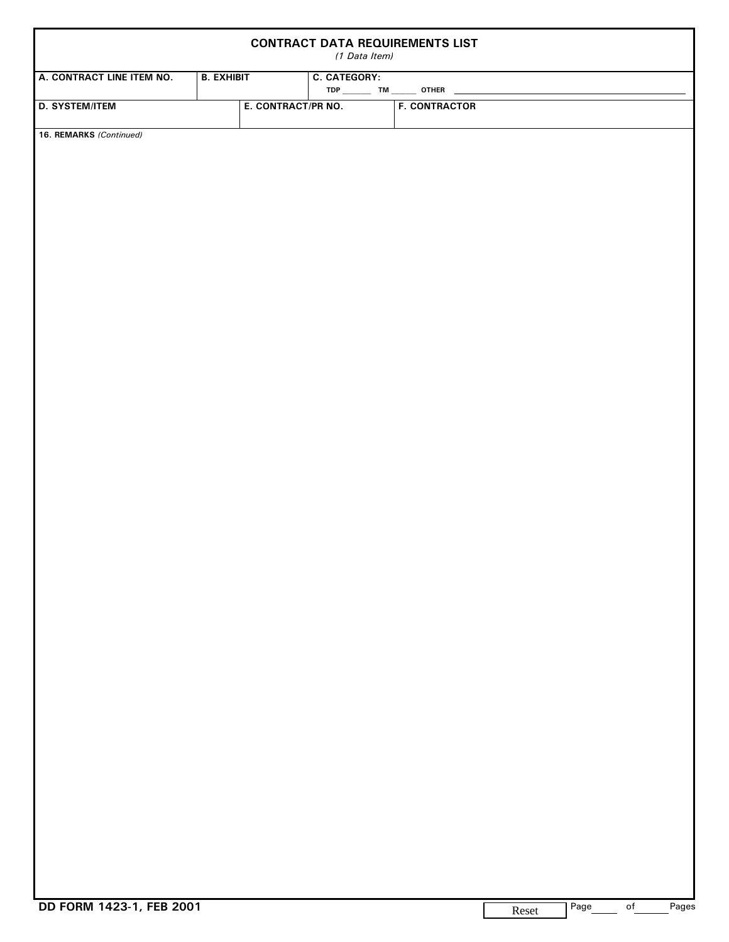|                           |                   | (1 Data Item)      | <b>CONTRACT DATA REQUIREMENTS LIST</b> |  |  |
|---------------------------|-------------------|--------------------|----------------------------------------|--|--|
| A. CONTRACT LINE ITEM NO. | <b>B. EXHIBIT</b> |                    | <b>C. CATEGORY:</b>                    |  |  |
| <b>D. SYSTEM/ITEM</b>     |                   | E. CONTRACT/PR NO. | <b>F. CONTRACTOR</b>                   |  |  |
| 16. REMARKS (Continued)   |                   |                    |                                        |  |  |
|                           |                   |                    |                                        |  |  |
|                           |                   |                    |                                        |  |  |
|                           |                   |                    |                                        |  |  |
|                           |                   |                    |                                        |  |  |
|                           |                   |                    |                                        |  |  |
|                           |                   |                    |                                        |  |  |
|                           |                   |                    |                                        |  |  |
|                           |                   |                    |                                        |  |  |
|                           |                   |                    |                                        |  |  |
|                           |                   |                    |                                        |  |  |
|                           |                   |                    |                                        |  |  |
|                           |                   |                    |                                        |  |  |
|                           |                   |                    |                                        |  |  |
|                           |                   |                    |                                        |  |  |
|                           |                   |                    |                                        |  |  |
|                           |                   |                    |                                        |  |  |
|                           |                   |                    |                                        |  |  |
|                           |                   |                    |                                        |  |  |
|                           |                   |                    |                                        |  |  |
|                           |                   |                    |                                        |  |  |
|                           |                   |                    |                                        |  |  |
|                           |                   |                    |                                        |  |  |
|                           |                   |                    |                                        |  |  |
|                           |                   |                    |                                        |  |  |
|                           |                   |                    |                                        |  |  |
|                           |                   |                    |                                        |  |  |
|                           |                   |                    |                                        |  |  |